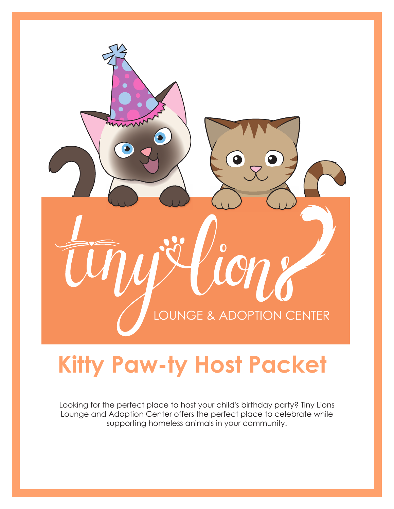

# **Kitty Paw-ty Host Packet**

Looking for the perfect place to host your child's birthday party? Tiny Lions Lounge and Adoption Center offers the perfect place to celebrate while supporting homeless animals in your community.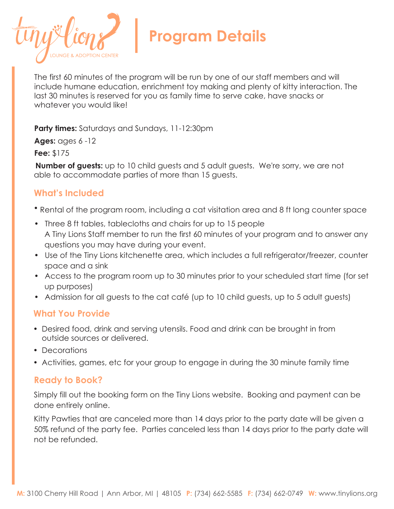

The first 60 minutes of the program will be run by one of our staff members and will include humane education, enrichment toy making and plenty of kitty interaction. The last 30 minutes is reserved for you as family time to serve cake, have snacks or whatever you would like!

**Party times:** Saturdays and Sundays, 11-12:30pm

**Ages:** ages 6 -12

**Fee:** \$175

**Number of guests:** up to 10 child guests and 5 adult guests. We're sorry, we are not able to accommodate parties of more than 15 guests.

## **What's Included**

• Rental of the program room, including a cat visitation area and 8 ft long counter space

- Three 8 ft tables, tablecloths and chairs for up to 15 people A Tiny Lions Staff member to run the first 60 minutes of your program and to answer any questions you may have during your event.
- Use of the Tiny Lions kitchenette area, which includes a full refrigerator/freezer, counter space and a sink
- Access to the program room up to 30 minutes prior to your scheduled start time (for set up purposes)
- Admission for all guests to the cat café (up to 10 child guests, up to 5 adult guests)

#### **What You Provide**

- Desired food, drink and serving utensils. Food and drink can be brought in from outside sources or delivered.
- Decorations
- Activities, games, etc for your group to engage in during the 30 minute family time

#### **Ready to Book?**

Simply fill out the booking form on the Tiny Lions website. Booking and payment can be done entirely online.

Kitty Pawties that are canceled more than 14 days prior to the party date will be given a 50% refund of the party fee. Parties canceled less than 14 days prior to the party date will not be refunded.